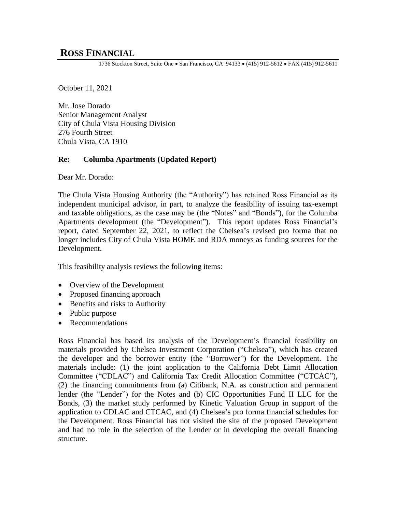# **ROSS FINANCIAL**

1736 Stockton Street, Suite One • San Francisco, CA 94133 • (415) 912-5612 • FAX (415) 912-5611

October 11, 2021

Mr. Jose Dorado Senior Management Analyst City of Chula Vista Housing Division 276 Fourth Street Chula Vista, CA 1910

#### **Re: Columba Apartments (Updated Report)**

Dear Mr. Dorado:

The Chula Vista Housing Authority (the "Authority") has retained Ross Financial as its independent municipal advisor, in part, to analyze the feasibility of issuing tax-exempt and taxable obligations, as the case may be (the "Notes" and "Bonds"), for the Columba Apartments development (the "Development"). This report updates Ross Financial's report, dated September 22, 2021, to reflect the Chelsea's revised pro forma that no longer includes City of Chula Vista HOME and RDA moneys as funding sources for the Development.

This feasibility analysis reviews the following items:

- Overview of the Development
- Proposed financing approach
- Benefits and risks to Authority
- Public purpose
- Recommendations

Ross Financial has based its analysis of the Development's financial feasibility on materials provided by Chelsea Investment Corporation ("Chelsea"), which has created the developer and the borrower entity (the "Borrower") for the Development. The materials include: (1) the joint application to the California Debt Limit Allocation Committee ("CDLAC") and California Tax Credit Allocation Committee ("CTCAC"), (2) the financing commitments from (a) Citibank, N.A. as construction and permanent lender (the "Lender") for the Notes and (b) CIC Opportunities Fund II LLC for the Bonds, (3) the market study performed by Kinetic Valuation Group in support of the application to CDLAC and CTCAC, and (4) Chelsea's pro forma financial schedules for the Development. Ross Financial has not visited the site of the proposed Development and had no role in the selection of the Lender or in developing the overall financing structure.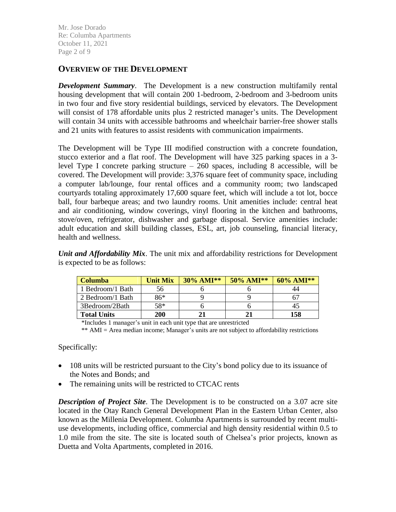Mr. Jose Dorado Re: Columba Apartments October 11, 2021 Page 2 of 9

### **OVERVIEW OF THE DEVELOPMENT**

*Development Summary*. The Development is a new construction multifamily rental housing development that will contain 200 1-bedroom, 2-bedroom and 3-bedroom units in two four and five story residential buildings, serviced by elevators. The Development will consist of 178 affordable units plus 2 restricted manager's units. The Development will contain 34 units with accessible bathrooms and wheelchair barrier-free shower stalls and 21 units with features to assist residents with communication impairments.

The Development will be Type III modified construction with a concrete foundation, stucco exterior and a flat roof. The Development will have 325 parking spaces in a 3 level Type I concrete parking structure  $-260$  spaces, including 8 accessible, will be covered. The Development will provide: 3,376 square feet of community space, including a computer lab/lounge, four rental offices and a community room; two landscaped courtyards totaling approximately 17,600 square feet, which will include a tot lot, bocce ball, four barbeque areas; and two laundry rooms. Unit amenities include: central heat and air conditioning, window coverings, vinyl flooring in the kitchen and bathrooms, stove/oven, refrigerator, dishwasher and garbage disposal. Service amenities include: adult education and skill building classes, ESL, art, job counseling, financial literacy, health and wellness.

*Unit and Affordability Mix*. The unit mix and affordability restrictions for Development is expected to be as follows:

| Columba            | <b>Unit Mix</b> | $30\%$ AMI** | $50\%$ AMI** | $60\%$ AMI** |
|--------------------|-----------------|--------------|--------------|--------------|
| 1 Bedroom/1 Bath   | 56              |              |              |              |
| 2 Bedroom/1 Bath   | 86*             |              |              |              |
| 3Bedroom/2Bath     | 58*             |              |              |              |
| <b>Total Units</b> | 200             |              |              | 158          |

\*Includes 1 manager's unit in each unit type that are unrestricted

\*\* AMI = Area median income; Manager's units are not subject to affordability restrictions

Specifically:

- 108 units will be restricted pursuant to the City's bond policy due to its issuance of the Notes and Bonds; and
- The remaining units will be restricted to CTCAC rents

*Description of Project Site*. The Development is to be constructed on a 3.07 acre site located in the Otay Ranch General Development Plan in the Eastern Urban Center, also known as the Millenia Development. Columba Apartments is surrounded by recent multiuse developments, including office, commercial and high density residential within 0.5 to 1.0 mile from the site. The site is located south of Chelsea's prior projects, known as Duetta and Volta Apartments, completed in 2016.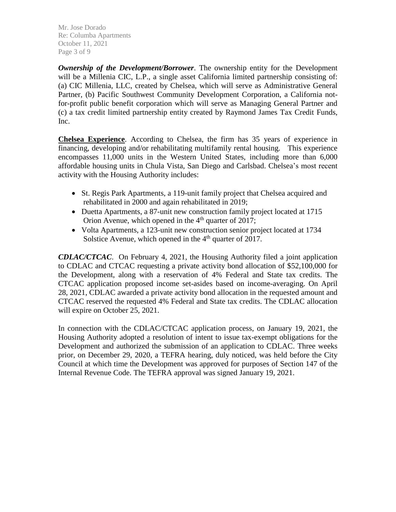Mr. Jose Dorado Re: Columba Apartments October 11, 2021 Page 3 of 9

*Ownership of the Development/Borrower*. The ownership entity for the Development will be a Millenia CIC, L.P., a single asset California limited partnership consisting of: (a) CIC Millenia, LLC, created by Chelsea, which will serve as Administrative General Partner, (b) Pacific Southwest Community Development Corporation, a California notfor-profit public benefit corporation which will serve as Managing General Partner and (c) a tax credit limited partnership entity created by Raymond James Tax Credit Funds, Inc.

**Chelsea Experience**. According to Chelsea, the firm has 35 years of experience in financing, developing and/or rehabilitating multifamily rental housing. This experience encompasses 11,000 units in the Western United States, including more than 6,000 affordable housing units in Chula Vista, San Diego and Carlsbad. Chelsea's most recent activity with the Housing Authority includes:

- St. Regis Park Apartments, a 119-unit family project that Chelsea acquired and rehabilitated in 2000 and again rehabilitated in 2019;
- Duetta Apartments, a 87-unit new construction family project located at 1715 Orion Avenue, which opened in the  $4<sup>th</sup>$  quarter of 2017;
- Volta Apartments, a 123-unit new construction senior project located at 1734 Solstice Avenue, which opened in the  $4<sup>th</sup>$  quarter of 2017.

*CDLAC/CTCAC*. On February 4, 2021, the Housing Authority filed a joint application to CDLAC and CTCAC requesting a private activity bond allocation of \$52,100,000 for the Development, along with a reservation of 4% Federal and State tax credits. The CTCAC application proposed income set-asides based on income-averaging. On April 28, 2021, CDLAC awarded a private activity bond allocation in the requested amount and CTCAC reserved the requested 4% Federal and State tax credits. The CDLAC allocation will expire on October 25, 2021.

In connection with the CDLAC/CTCAC application process, on January 19, 2021, the Housing Authority adopted a resolution of intent to issue tax-exempt obligations for the Development and authorized the submission of an application to CDLAC. Three weeks prior, on December 29, 2020, a TEFRA hearing, duly noticed, was held before the City Council at which time the Development was approved for purposes of Section 147 of the Internal Revenue Code. The TEFRA approval was signed January 19, 2021.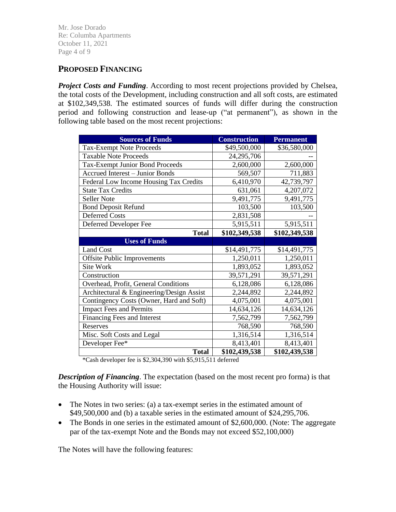Mr. Jose Dorado Re: Columba Apartments October 11, 2021 Page 4 of 9

## **PROPOSED FINANCING**

*Project Costs and Funding.* According to most recent projections provided by Chelsea, the total costs of the Development, including construction and all soft costs, are estimated at \$102,349,538. The estimated sources of funds will differ during the construction period and following construction and lease-up ("at permanent"), as shown in the following table based on the most recent projections:

| <b>Sources of Funds</b>                   | <b>Construction</b> | <b>Permanent</b> |  |  |
|-------------------------------------------|---------------------|------------------|--|--|
| <b>Tax-Exempt Note Proceeds</b>           | \$49,500,000        | \$36,580,000     |  |  |
| <b>Taxable Note Proceeds</b>              | 24,295,706          |                  |  |  |
| <b>Tax-Exempt Junior Bond Proceeds</b>    | 2,600,000           | 2,600,000        |  |  |
| <b>Accrued Interest - Junior Bonds</b>    | 569,507             | 711,883          |  |  |
| Federal Low Income Housing Tax Credits    | 6,410,970           | 42,739,797       |  |  |
| <b>State Tax Credits</b>                  | 631,061             | 4,207,072        |  |  |
| <b>Seller Note</b>                        | 9,491,775           | 9,491,775        |  |  |
| <b>Bond Deposit Refund</b>                | 103,500             | 103,500          |  |  |
| <b>Deferred Costs</b>                     | 2,831,508           |                  |  |  |
| Deferred Developer Fee                    | 5,915,511           | 5,915,511        |  |  |
| <b>Total</b>                              | \$102,349,538       | \$102,349,538    |  |  |
| <b>Uses of Funds</b>                      |                     |                  |  |  |
| <b>Land Cost</b>                          | \$14,491,775        | \$14,491,775     |  |  |
| <b>Offsite Public Improvements</b>        | 1,250,011           | 1,250,011        |  |  |
| Site Work                                 | 1,893,052           | 1,893,052        |  |  |
| Construction                              | 39,571,291          | 39,571,291       |  |  |
| Overhead, Profit, General Conditions      | 6,128,086           | 6,128,086        |  |  |
| Architectural & Engineering/Design Assist | 2,244,892           | 2,244,892        |  |  |
| Contingency Costs (Owner, Hard and Soft)  | 4,075,001           | 4,075,001        |  |  |
| <b>Impact Fees and Permits</b>            | 14,634,126          | 14,634,126       |  |  |
| Financing Fees and Interest               | 7,562,799           | 7,562,799        |  |  |
| Reserves                                  | 768,590             | 768,590          |  |  |
| Misc. Soft Costs and Legal                | 1,316,514           | 1,316,514        |  |  |
| Developer Fee*                            | 8,413,401           | 8,413,401        |  |  |
| <b>Total</b>                              | \$102,439,538       | \$102,439,538    |  |  |

\*Cash developer fee is \$2,304,390 with \$5,915,511 deferred

*Description of Financing*. The expectation (based on the most recent pro forma) is that the Housing Authority will issue:

- The Notes in two series: (a) a tax-exempt series in the estimated amount of \$49,500,000 and (b) a taxable series in the estimated amount of \$24,295,706.
- The Bonds in one series in the estimated amount of \$2,600,000. (Note: The aggregate par of the tax-exempt Note and the Bonds may not exceed \$52,100,000)

The Notes will have the following features: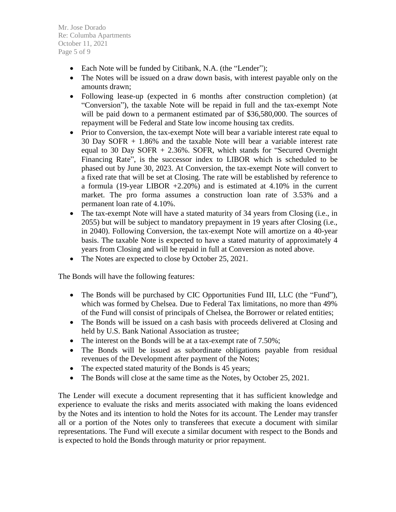Mr. Jose Dorado Re: Columba Apartments October 11, 2021 Page 5 of 9

- Each Note will be funded by Citibank, N.A. (the "Lender");
- The Notes will be issued on a draw down basis, with interest payable only on the amounts drawn;
- Following lease-up (expected in 6 months after construction completion) (at "Conversion"), the taxable Note will be repaid in full and the tax-exempt Note will be paid down to a permanent estimated par of \$36,580,000. The sources of repayment will be Federal and State low income housing tax credits.
- Prior to Conversion, the tax-exempt Note will bear a variable interest rate equal to 30 Day SOFR + 1.86% and the taxable Note will bear a variable interest rate equal to 30 Day SOFR + 2.36%. SOFR, which stands for "Secured Overnight Financing Rate", is the successor index to LIBOR which is scheduled to be phased out by June 30, 2023. At Conversion, the tax-exempt Note will convert to a fixed rate that will be set at Closing. The rate will be established by reference to a formula (19-year LIBOR +2.20%) and is estimated at 4.10% in the current market. The pro forma assumes a construction loan rate of 3.53% and a permanent loan rate of 4.10%.
- The tax-exempt Note will have a stated maturity of 34 years from Closing (i.e., in 2055) but will be subject to mandatory prepayment in 19 years after Closing (i.e., in 2040). Following Conversion, the tax-exempt Note will amortize on a 40-year basis. The taxable Note is expected to have a stated maturity of approximately 4 years from Closing and will be repaid in full at Conversion as noted above.
- The Notes are expected to close by October 25, 2021.

The Bonds will have the following features:

- The Bonds will be purchased by CIC Opportunities Fund III, LLC (the "Fund"), which was formed by Chelsea. Due to Federal Tax limitations, no more than 49% of the Fund will consist of principals of Chelsea, the Borrower or related entities;
- The Bonds will be issued on a cash basis with proceeds delivered at Closing and held by U.S. Bank National Association as trustee;
- The interest on the Bonds will be at a tax-exempt rate of 7.50%;
- The Bonds will be issued as subordinate obligations payable from residual revenues of the Development after payment of the Notes;
- The expected stated maturity of the Bonds is 45 years;
- The Bonds will close at the same time as the Notes, by October 25, 2021.

The Lender will execute a document representing that it has sufficient knowledge and experience to evaluate the risks and merits associated with making the loans evidenced by the Notes and its intention to hold the Notes for its account. The Lender may transfer all or a portion of the Notes only to transferees that execute a document with similar representations. The Fund will execute a similar document with respect to the Bonds and is expected to hold the Bonds through maturity or prior repayment.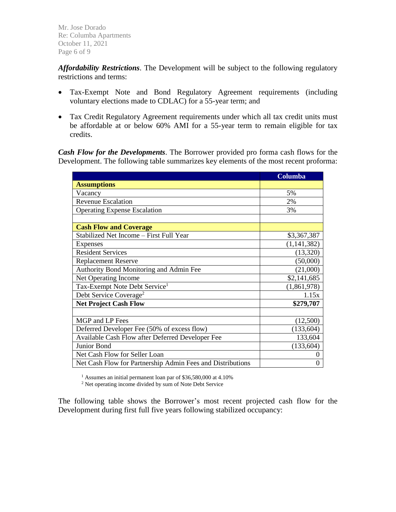Mr. Jose Dorado Re: Columba Apartments October 11, 2021 Page 6 of 9

*Affordability Restrictions*. The Development will be subject to the following regulatory restrictions and terms:

- Tax-Exempt Note and Bond Regulatory Agreement requirements (including voluntary elections made to CDLAC) for a 55-year term; and
- Tax Credit Regulatory Agreement requirements under which all tax credit units must be affordable at or below 60% AMI for a 55-year term to remain eligible for tax credits.

*Cash Flow for the Developments*. The Borrower provided pro forma cash flows for the Development. The following table summarizes key elements of the most recent proforma:

|                                                            | Columba       |  |  |
|------------------------------------------------------------|---------------|--|--|
| <b>Assumptions</b>                                         |               |  |  |
| Vacancy                                                    | 5%            |  |  |
| <b>Revenue Escalation</b>                                  | 2%            |  |  |
| <b>Operating Expense Escalation</b>                        | 3%            |  |  |
|                                                            |               |  |  |
| <b>Cash Flow and Coverage</b>                              |               |  |  |
| Stabilized Net Income - First Full Year                    | \$3,367,387   |  |  |
| Expenses                                                   | (1, 141, 382) |  |  |
| <b>Resident Services</b>                                   | (13,320)      |  |  |
| <b>Replacement Reserve</b>                                 | (50,000)      |  |  |
| Authority Bond Monitoring and Admin Fee                    | (21,000)      |  |  |
| Net Operating Income                                       | \$2,141,685   |  |  |
| Tax-Exempt Note Debt Service <sup>1</sup>                  | (1,861,978)   |  |  |
| Debt Service Coverage <sup>2</sup>                         | 1.15x         |  |  |
| <b>Net Project Cash Flow</b>                               | \$279,707     |  |  |
|                                                            |               |  |  |
| MGP and LP Fees                                            | (12,500)      |  |  |
| Deferred Developer Fee (50% of excess flow)                | (133, 604)    |  |  |
| Available Cash Flow after Deferred Developer Fee           | 133,604       |  |  |
| Junior Bond                                                | (133, 604)    |  |  |
| Net Cash Flow for Seller Loan                              |               |  |  |
| Net Cash Flow for Partnership Admin Fees and Distributions | 0             |  |  |

<sup>1</sup> Assumes an initial permanent loan par of \$36,580,000 at 4.10%

<sup>2</sup> Net operating income divided by sum of Note Debt Service

The following table shows the Borrower's most recent projected cash flow for the Development during first full five years following stabilized occupancy: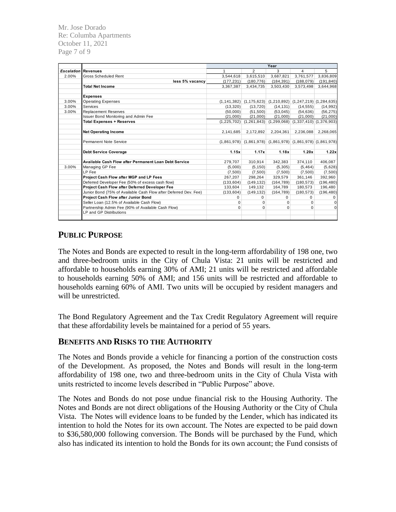Mr. Jose Dorado Re: Columba Apartments October 11, 2021 Page 7 of 9

|                            |                                                                  | Year          |                                                                       |                                                         |            |                             |
|----------------------------|------------------------------------------------------------------|---------------|-----------------------------------------------------------------------|---------------------------------------------------------|------------|-----------------------------|
| <b>Escalation Revenues</b> |                                                                  | $\mathbf{1}$  | $\overline{2}$                                                        | 3                                                       | 4          | 5                           |
| 2.00%                      | <b>Gross Scheduled Rent</b>                                      | 3,544,618     | 3,615,510                                                             | 3,687,821                                               | 3,761,577  | 3,836,809                   |
|                            | less 5% vacancy                                                  | (177, 231)    | (180, 776)                                                            | (184, 391)                                              | (188,079)  | (191, 840)                  |
|                            | <b>Total Net Income</b>                                          | 3,367,387     | 3,434,735                                                             | 3,503,430                                               | 3,573,498  | 3,644,968                   |
|                            | <b>Expenses</b>                                                  |               |                                                                       |                                                         |            |                             |
| 3.00%                      | <b>Operating Expenses</b>                                        | (1, 141, 382) |                                                                       | $(1,175,623)$ $(1,210,892)$ $(1,247,219)$ $(1,284,635)$ |            |                             |
| 3.00%                      | Services                                                         | (13,320)      | (13, 720)                                                             | (14, 131)                                               | (14, 555)  | (14, 992)                   |
| 3.00%                      | <b>Replacement Reserves</b>                                      | (50.000)      | (51,500)                                                              | (53,045)                                                | (54, 636)  | (56, 275)                   |
|                            | Issuer Bond Monitoring and Admin Fee                             | (21,000)      | (21,000)                                                              | (21,000)                                                | (21,000)   | (21,000)                    |
|                            | <b>Total Expenses + Reserves</b>                                 | (1,225,702)   | (1, 261, 843)                                                         | (1, 299, 068)                                           |            | $(1,337,410)$ $(1,376,903)$ |
|                            |                                                                  |               |                                                                       |                                                         |            |                             |
|                            | <b>Net Operating Income</b>                                      | 2,141,685     | 2,172,892                                                             | 2,204,361                                               | 2,236,088  | 2,268,065                   |
|                            | Permanent Note Service                                           |               | $(1,861,978)$ $(1,861,978)$ $(1,861,978)$ $(1,861,978)$ $(1,861,978)$ |                                                         |            |                             |
|                            | <b>Debt Service Coverage</b>                                     | 1.15x         | 1.17x                                                                 | 1.18x                                                   | 1.20x      | 1.22x                       |
|                            | Available Cash Flow after Permanent Loan Debt Service            | 279,707       | 310,914                                                               | 342,383                                                 | 374,110    | 406.087                     |
| 3.00%                      | Managing GP Fee                                                  | (5,000)       | (5, 150)                                                              | (5,305)                                                 | (5, 464)   | (5,628)                     |
|                            | LP Fee                                                           | (7,500)       | (7,500)                                                               | (7.500)                                                 | (7,500)    | (7,500)                     |
|                            | Project Cash Flow after MGP and LP Fees                          | 267,207       | 298,264                                                               | 329,579                                                 | 361,146    | 392,960                     |
|                            | Deferred Developer Fee (50% of excess cash flow)                 | (133, 604)    | (149, 132)                                                            | (164, 789)                                              | (180, 573) | (196, 480)                  |
|                            | Project Cash Flow after Deferred Developer Fee                   | 133,604       | 149,132                                                               | 164,789                                                 | 180,573    | 196,480                     |
|                            | Junior Bond (75% of Available Cash Flow after Deferred Dev. Fee) | (133, 604)    | (149, 132)                                                            | (164, 789)                                              | (180, 573) | (196, 480)                  |
|                            | Project Cash Flow after Junior Bond                              | 0             | $\Omega$                                                              | 0                                                       | 0          | $\mathbf 0$                 |
|                            | Seller Loan (12.5% of Available Cash Flow)                       | 0             | $\Omega$                                                              | $\Omega$                                                | $\Omega$   | 0                           |
|                            | Partnership Admin Fee (90% of Available Cash Flow)               | 0             | 0                                                                     | $\Omega$                                                | $\Omega$   | $\mathbf 0$                 |
|                            | <b>LP and GP Distributions</b>                                   |               |                                                                       |                                                         |            |                             |
|                            |                                                                  |               |                                                                       |                                                         |            |                             |

### **PUBLIC PURPOSE**

The Notes and Bonds are expected to result in the long-term affordability of 198 one, two and three-bedroom units in the City of Chula Vista: 21 units will be restricted and affordable to households earning 30% of AMI; 21 units will be restricted and affordable to households earning 50% of AMI; and 156 units will be restricted and affordable to households earning 60% of AMI. Two units will be occupied by resident managers and will be unrestricted.

The Bond Regulatory Agreement and the Tax Credit Regulatory Agreement will require that these affordability levels be maintained for a period of 55 years.

### **BENEFITS AND RISKS TO THE AUTHORITY**

The Notes and Bonds provide a vehicle for financing a portion of the construction costs of the Development. As proposed, the Notes and Bonds will result in the long-term affordability of 198 one, two and three-bedroom units in the City of Chula Vista with units restricted to income levels described in "Public Purpose" above.

The Notes and Bonds do not pose undue financial risk to the Housing Authority. The Notes and Bonds are not direct obligations of the Housing Authority or the City of Chula Vista. The Notes will evidence loans to be funded by the Lender, which has indicated its intention to hold the Notes for its own account. The Notes are expected to be paid down to \$36,580,000 following conversion. The Bonds will be purchased by the Fund, which also has indicated its intention to hold the Bonds for its own account; the Fund consists of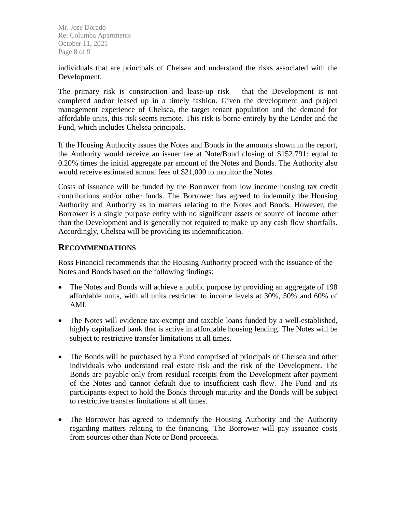Mr. Jose Dorado Re: Columba Apartments October 11, 2021 Page 8 of 9

individuals that are principals of Chelsea and understand the risks associated with the Development.

The primary risk is construction and lease-up risk – that the Development is not completed and/or leased up in a timely fashion. Given the development and project management experience of Chelsea, the target tenant population and the demand for affordable units, this risk seems remote. This risk is borne entirely by the Lender and the Fund, which includes Chelsea principals.

If the Housing Authority issues the Notes and Bonds in the amounts shown in the report, the Authority would receive an issuer fee at Note/Bond closing of \$152,791: equal to 0.20% times the initial aggregate par amount of the Notes and Bonds. The Authority also would receive estimated annual fees of \$21,000 to monitor the Notes.

Costs of issuance will be funded by the Borrower from low income housing tax credit contributions and/or other funds. The Borrower has agreed to indemnify the Housing Authority and Authority as to matters relating to the Notes and Bonds. However, the Borrower is a single purpose entity with no significant assets or source of income other than the Development and is generally not required to make up any cash flow shortfalls. Accordingly, Chelsea will be providing its indemnification.

### **RECOMMENDATIONS**

Ross Financial recommends that the Housing Authority proceed with the issuance of the Notes and Bonds based on the following findings:

- The Notes and Bonds will achieve a public purpose by providing an aggregate of 198 affordable units, with all units restricted to income levels at 30%, 50% and 60% of AMI.
- The Notes will evidence tax-exempt and taxable loans funded by a well-established, highly capitalized bank that is active in affordable housing lending. The Notes will be subject to restrictive transfer limitations at all times.
- The Bonds will be purchased by a Fund comprised of principals of Chelsea and other individuals who understand real estate risk and the risk of the Development. The Bonds are payable only from residual receipts from the Development after payment of the Notes and cannot default due to insufficient cash flow. The Fund and its participants expect to hold the Bonds through maturity and the Bonds will be subject to restrictive transfer limitations at all times.
- The Borrower has agreed to indemnify the Housing Authority and the Authority regarding matters relating to the financing. The Borrower will pay issuance costs from sources other than Note or Bond proceeds.